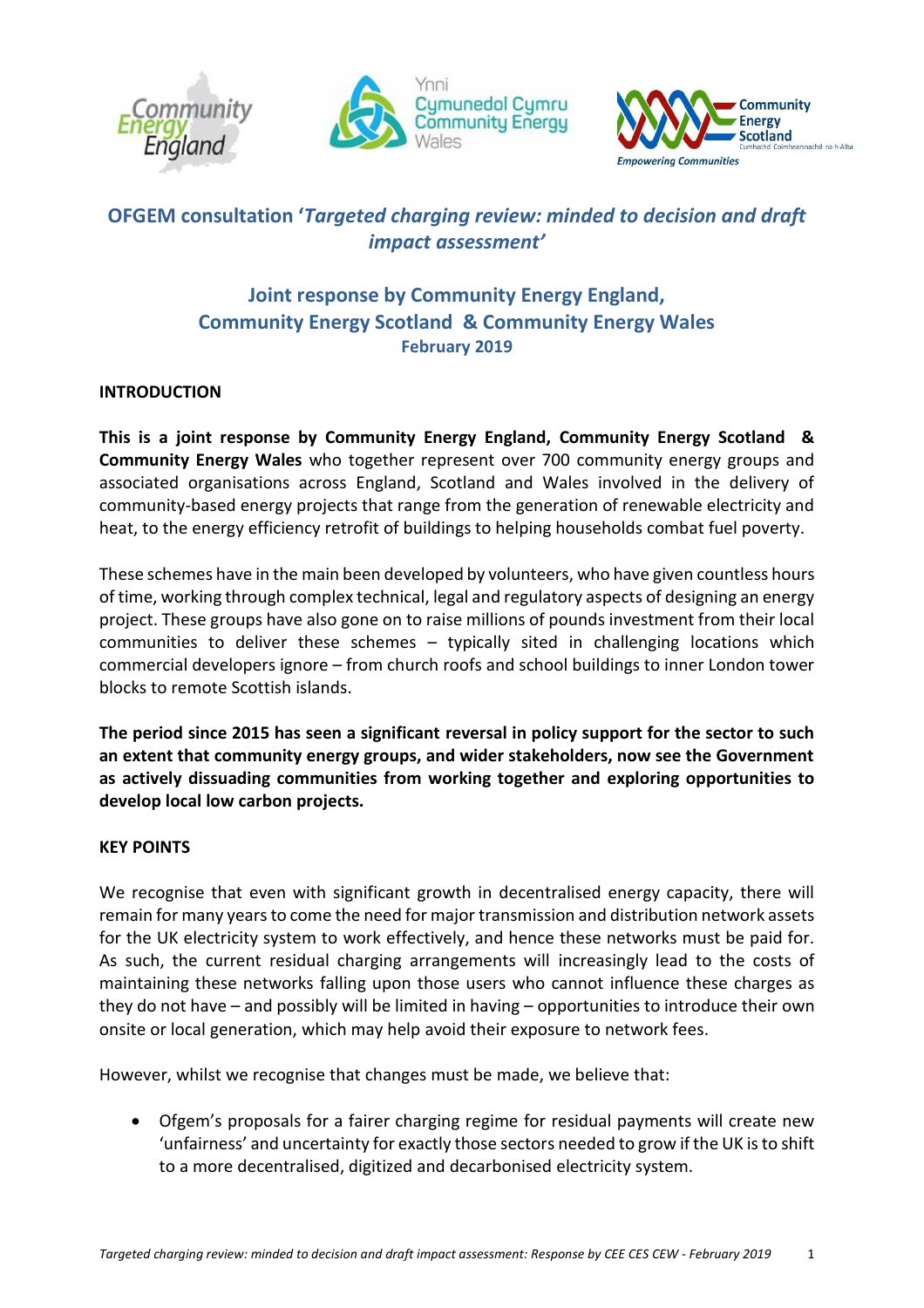





# **OFGEM consultation '***Targeted charging review: minded to decision and draft impact assessment'*

## **Joint response by Community Energy England, Community Energy Scotland & Community Energy Wales February 2019**

### **INTRODUCTION**

**This is a joint response by Community Energy England, Community Energy Scotland & Community Energy Wales** who together represent over 700 community energy groups and associated organisations across England, Scotland and Wales involved in the delivery of community-based energy projects that range from the generation of renewable electricity and heat, to the energy efficiency retrofit of buildings to helping households combat fuel poverty.

These schemes have in the main been developed by volunteers, who have given countless hours of time, working through complex technical, legal and regulatory aspects of designing an energy project. These groups have also gone on to raise millions of pounds investment from their local communities to deliver these schemes – typically sited in challenging locations which commercial developers ignore – from church roofs and school buildings to inner London tower blocks to remote Scottish islands.

**The period since 2015 has seen a significant reversal in policy support for the sector to such an extent that community energy groups, and wider stakeholders, now see the Government as actively dissuading communities from working together and exploring opportunities to develop local low carbon projects.**

### **KEY POINTS**

We recognise that even with significant growth in decentralised energy capacity, there will remain for many years to come the need for major transmission and distribution network assets for the UK electricity system to work effectively, and hence these networks must be paid for. As such, the current residual charging arrangements will increasingly lead to the costs of maintaining these networks falling upon those users who cannot influence these charges as they do not have – and possibly will be limited in having – opportunities to introduce their own onsite or local generation, which may help avoid their exposure to network fees.

However, whilst we recognise that changes must be made, we believe that:

• Ofgem's proposals for a fairer charging regime for residual payments will create new 'unfairness' and uncertainty for exactly those sectors needed to grow if the UK is to shift to a more decentralised, digitized and decarbonised electricity system.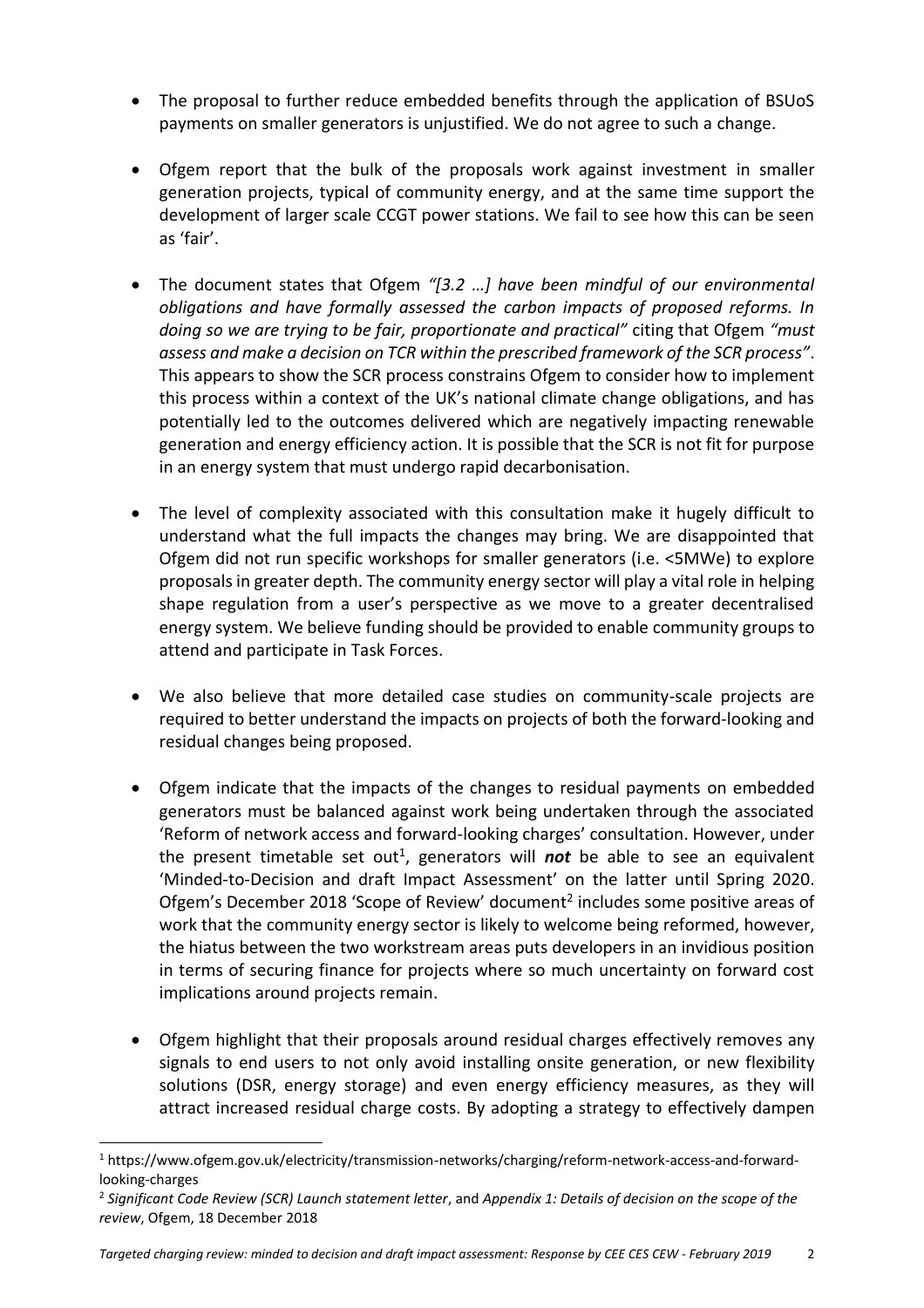- The proposal to further reduce embedded benefits through the application of BSUoS payments on smaller generators is unjustified. We do not agree to such a change.
- Ofgem report that the bulk of the proposals work against investment in smaller generation projects, typical of community energy, and at the same time support the development of larger scale CCGT power stations. We fail to see how this can be seen as 'fair'.
- The document states that Ofgem *"[3.2 …] have been mindful of our environmental obligations and have formally assessed the carbon impacts of proposed reforms. In doing so we are trying to be fair, proportionate and practical"* citing that Ofgem *"must assess and make a decision on TCR within the prescribed framework of the SCR process"*. This appears to show the SCR process constrains Ofgem to consider how to implement this process within a context of the UK's national climate change obligations, and has potentially led to the outcomes delivered which are negatively impacting renewable generation and energy efficiency action. It is possible that the SCR is not fit for purpose in an energy system that must undergo rapid decarbonisation.
- The level of complexity associated with this consultation make it hugely difficult to understand what the full impacts the changes may bring. We are disappointed that Ofgem did not run specific workshops for smaller generators (i.e. <5MWe) to explore proposals in greater depth. The community energy sector will play a vital role in helping shape regulation from a user's perspective as we move to a greater decentralised energy system. We believe funding should be provided to enable community groups to attend and participate in Task Forces.
- We also believe that more detailed case studies on community-scale projects are required to better understand the impacts on projects of both the forward-looking and residual changes being proposed.
- Ofgem indicate that the impacts of the changes to residual payments on embedded generators must be balanced against work being undertaken through the associated 'Reform of network access and forward-looking charges' consultation. However, under the present timetable set out<sup>1</sup>, generators will *not* be able to see an equivalent 'Minded-to-Decision and draft Impact Assessment' on the latter until Spring 2020. Ofgem's December 2018 'Scope of Review' document<sup>2</sup> includes some positive areas of work that the community energy sector is likely to welcome being reformed, however, the hiatus between the two workstream areas puts developers in an invidious position in terms of securing finance for projects where so much uncertainty on forward cost implications around projects remain.
- Ofgem highlight that their proposals around residual charges effectively removes any signals to end users to not only avoid installing onsite generation, or new flexibility solutions (DSR, energy storage) and even energy efficiency measures, as they will attract increased residual charge costs. By adopting a strategy to effectively dampen

 $\overline{a}$ 

<sup>1</sup> https://www.ofgem.gov.uk/electricity/transmission-networks/charging/reform-network-access-and-forwardlooking-charges

<sup>2</sup> *Significant Code Review (SCR) Launch statement letter*, and *Appendix 1: Details of decision on the scope of the review*, Ofgem, 18 December 2018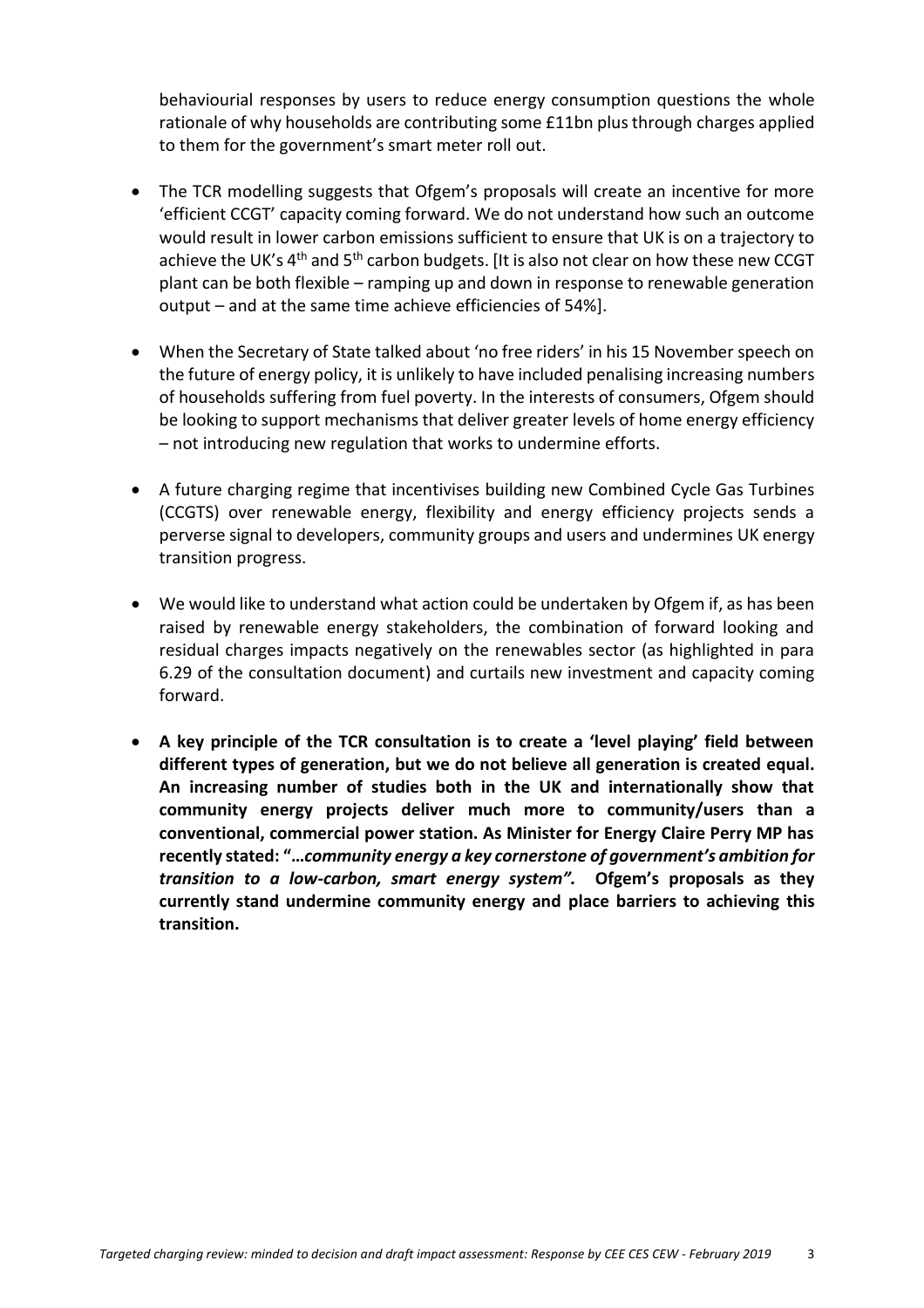behaviourial responses by users to reduce energy consumption questions the whole rationale of why households are contributing some £11bn plus through charges applied to them for the government's smart meter roll out.

- The TCR modelling suggests that Ofgem's proposals will create an incentive for more 'efficient CCGT' capacity coming forward. We do not understand how such an outcome would result in lower carbon emissions sufficient to ensure that UK is on a trajectory to achieve the UK's  $4<sup>th</sup>$  and  $5<sup>th</sup>$  carbon budgets. [It is also not clear on how these new CCGT plant can be both flexible – ramping up and down in response to renewable generation output – and at the same time achieve efficiencies of 54%].
- When the Secretary of State talked about 'no free riders' in his 15 November speech on the future of energy policy, it is unlikely to have included penalising increasing numbers of households suffering from fuel poverty. In the interests of consumers, Ofgem should be looking to support mechanisms that deliver greater levels of home energy efficiency – not introducing new regulation that works to undermine efforts.
- A future charging regime that incentivises building new Combined Cycle Gas Turbines (CCGTS) over renewable energy, flexibility and energy efficiency projects sends a perverse signal to developers, community groups and users and undermines UK energy transition progress.
- We would like to understand what action could be undertaken by Ofgem if, as has been raised by renewable energy stakeholders, the combination of forward looking and residual charges impacts negatively on the renewables sector (as highlighted in para 6.29 of the consultation document) and curtails new investment and capacity coming forward.
- **A key principle of the TCR consultation is to create a 'level playing' field between different types of generation, but we do not believe all generation is created equal. An increasing number of studies both in the UK and internationally show that community energy projects deliver much more to community/users than a conventional, commercial power station. As Minister for Energy Claire Perry MP has recently stated: "…***community energy a key cornerstone of government's ambition for transition to a low-carbon, smart energy system".* **Ofgem's proposals as they currently stand undermine community energy and place barriers to achieving this transition.**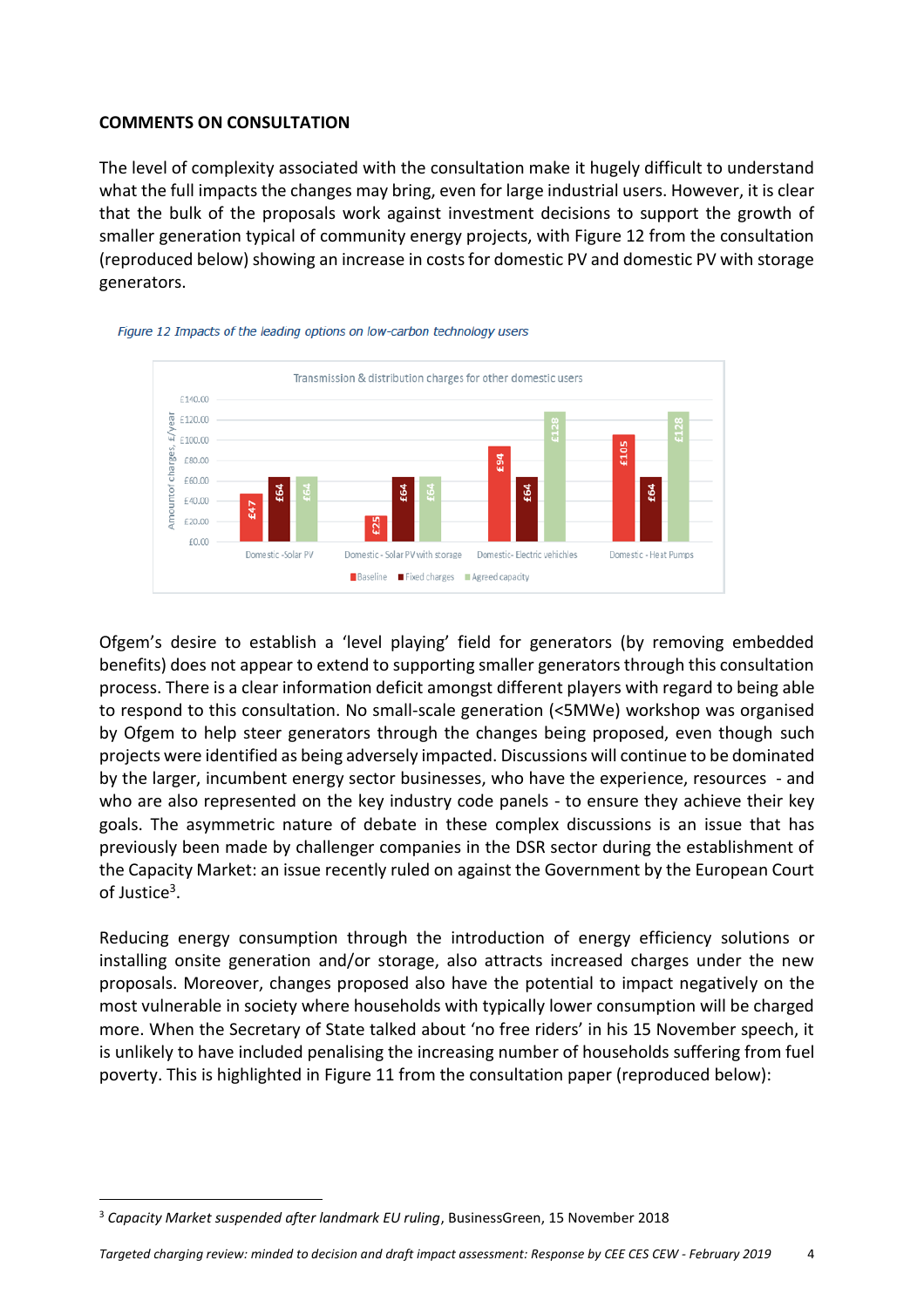#### **COMMENTS ON CONSULTATION**

The level of complexity associated with the consultation make it hugely difficult to understand what the full impacts the changes may bring, even for large industrial users. However, it is clear that the bulk of the proposals work against investment decisions to support the growth of smaller generation typical of community energy projects, with Figure 12 from the consultation (reproduced below) showing an increase in costs for domestic PV and domestic PV with storage generators.





Ofgem's desire to establish a 'level playing' field for generators (by removing embedded benefits) does not appear to extend to supporting smaller generators through this consultation process. There is a clear information deficit amongst different players with regard to being able to respond to this consultation. No small-scale generation (<5MWe) workshop was organised by Ofgem to help steer generators through the changes being proposed, even though such projects were identified as being adversely impacted. Discussions will continue to be dominated by the larger, incumbent energy sector businesses, who have the experience, resources - and who are also represented on the key industry code panels - to ensure they achieve their key goals. The asymmetric nature of debate in these complex discussions is an issue that has previously been made by challenger companies in the DSR sector during the establishment of the Capacity Market: an issue recently ruled on against the Government by the European Court of Justice<sup>3</sup>.

Reducing energy consumption through the introduction of energy efficiency solutions or installing onsite generation and/or storage, also attracts increased charges under the new proposals. Moreover, changes proposed also have the potential to impact negatively on the most vulnerable in society where households with typically lower consumption will be charged more. When the Secretary of State talked about 'no free riders' in his 15 November speech, it is unlikely to have included penalising the increasing number of households suffering from fuel poverty. This is highlighted in Figure 11 from the consultation paper (reproduced below):

 $\overline{\phantom{a}}$ 

<sup>3</sup> *Capacity Market suspended after landmark EU ruling*, BusinessGreen, 15 November 2018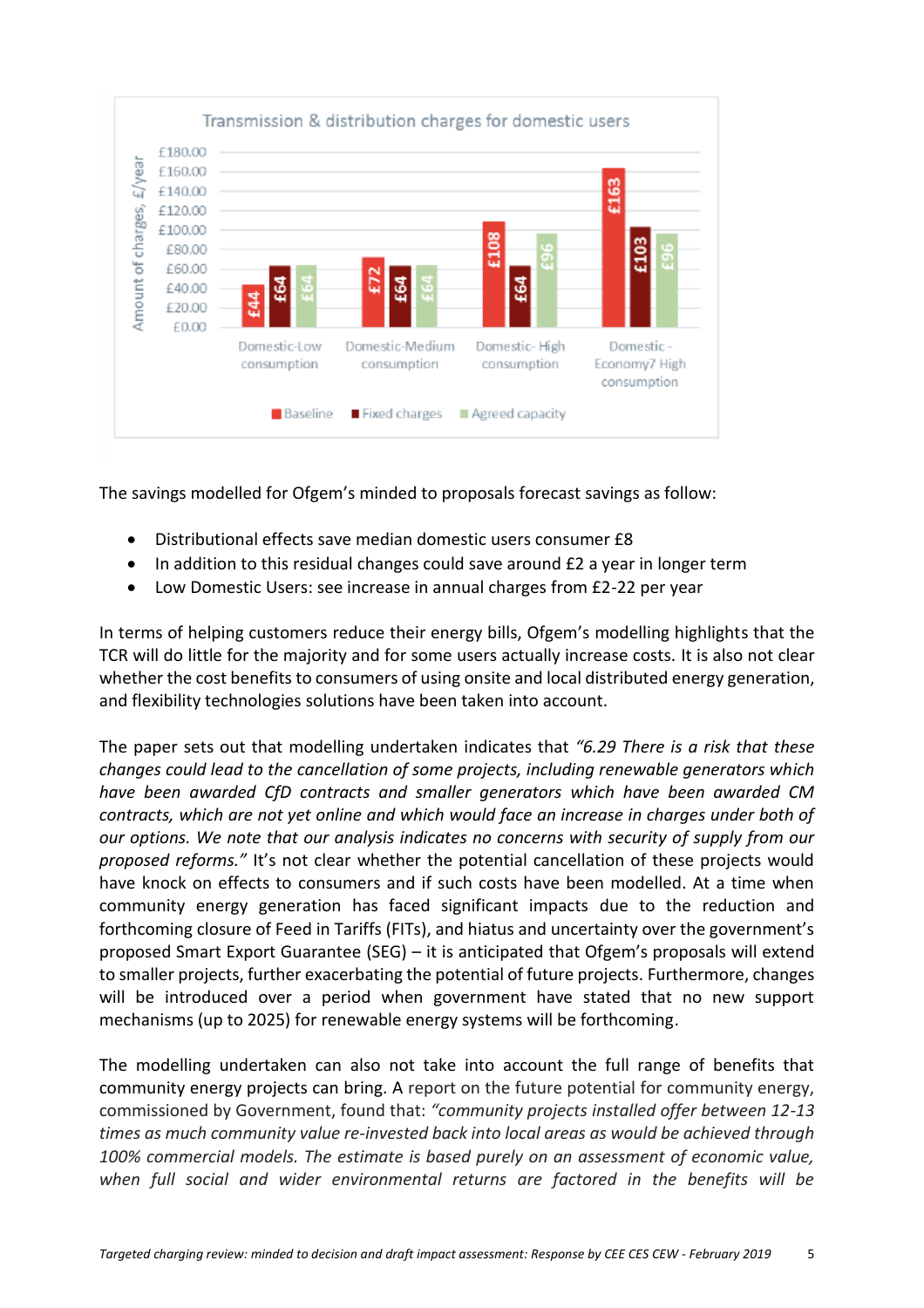

The savings modelled for Ofgem's minded to proposals forecast savings as follow:

- Distributional effects save median domestic users consumer £8
- In addition to this residual changes could save around £2 a year in longer term
- Low Domestic Users: see increase in annual charges from £2-22 per year

In terms of helping customers reduce their energy bills, Ofgem's modelling highlights that the TCR will do little for the majority and for some users actually increase costs. It is also not clear whether the cost benefits to consumers of using onsite and local distributed energy generation, and flexibility technologies solutions have been taken into account.

The paper sets out that modelling undertaken indicates that *"6.29 There is a risk that these changes could lead to the cancellation of some projects, including renewable generators which have been awarded CfD contracts and smaller generators which have been awarded CM contracts, which are not yet online and which would face an increase in charges under both of our options. We note that our analysis indicates no concerns with security of supply from our proposed reforms."* It's not clear whether the potential cancellation of these projects would have knock on effects to consumers and if such costs have been modelled. At a time when community energy generation has faced significant impacts due to the reduction and forthcoming closure of Feed in Tariffs (FITs), and hiatus and uncertainty over the government's proposed Smart Export Guarantee (SEG) – it is anticipated that Ofgem's proposals will extend to smaller projects, further exacerbating the potential of future projects. Furthermore, changes will be introduced over a period when government have stated that no new support mechanisms (up to 2025) for renewable energy systems will be forthcoming.

The modelling undertaken can also not take into account the full range of benefits that community energy projects can bring. A report on the future potential for community energy, commissioned by Government, found that: *"community projects installed offer between 12-13 times as much community value re-invested back into local areas as would be achieved through 100% commercial models. The estimate is based purely on an assessment of economic value, when full social and wider environmental returns are factored in the benefits will be*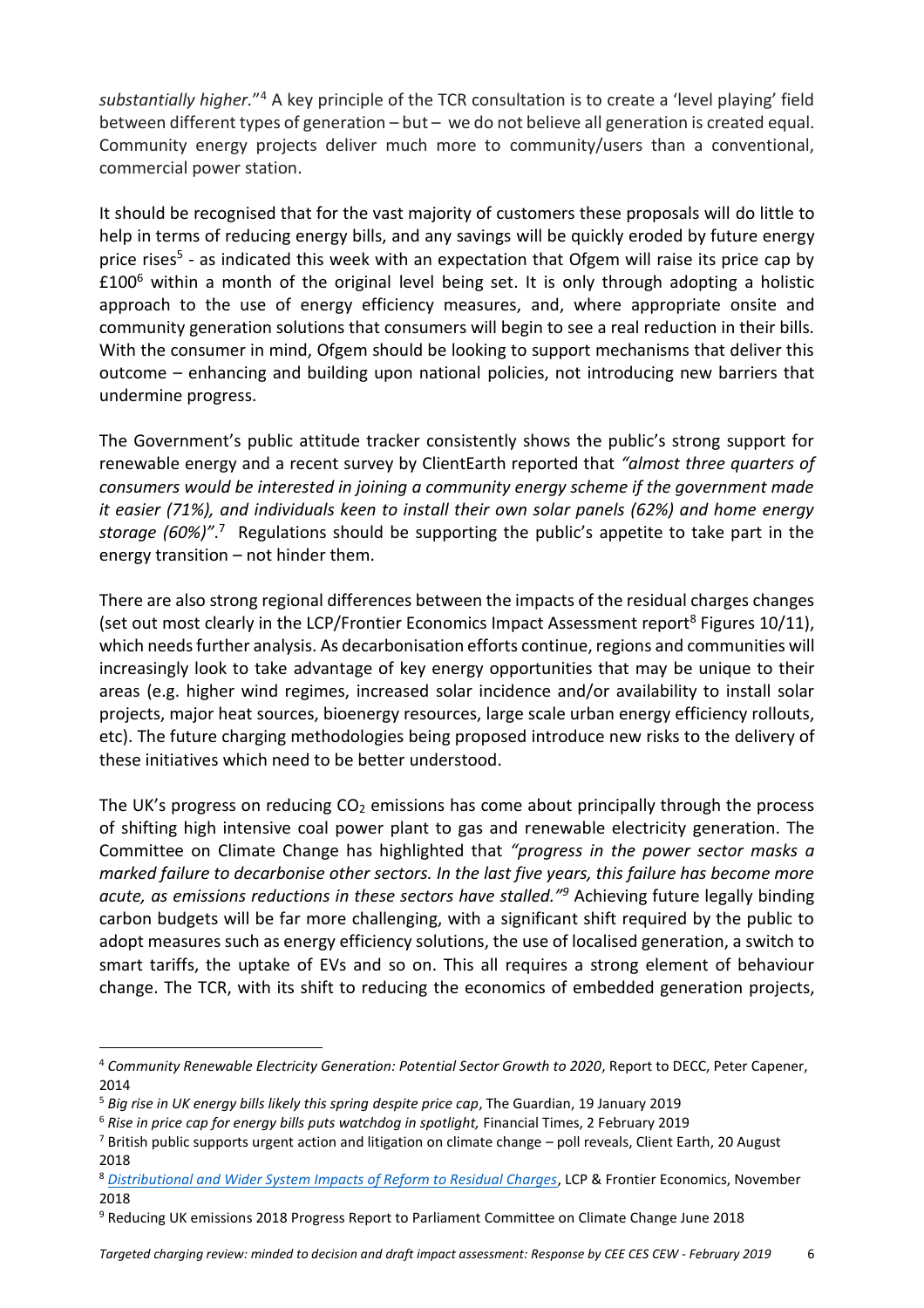*substantially higher.*" <sup>4</sup> A key principle of the TCR consultation is to create a 'level playing' field between different types of generation – but – we do not believe all generation is created equal. Community energy projects deliver much more to community/users than a conventional, commercial power station.

It should be recognised that for the vast majority of customers these proposals will do little to help in terms of reducing energy bills, and any savings will be quickly eroded by future energy price rises<sup>5</sup> - as indicated this week with an expectation that Ofgem will raise its price cap by  $£100<sup>6</sup>$  within a month of the original level being set. It is only through adopting a holistic approach to the use of energy efficiency measures, and, where appropriate onsite and community generation solutions that consumers will begin to see a real reduction in their bills. With the consumer in mind, Ofgem should be looking to support mechanisms that deliver this outcome – enhancing and building upon national policies, not introducing new barriers that undermine progress.

The Government's public attitude tracker consistently shows the public's strong support for renewable energy and a recent survey by ClientEarth reported that *"almost three quarters of consumers would be interested in joining a community energy scheme if the government made it easier (71%), and individuals keen to install their own solar panels (62%) and home energy storage (60%)"*. <sup>7</sup> Regulations should be supporting the public's appetite to take part in the energy transition – not hinder them.

There are also strong regional differences between the impacts of the residual charges changes (set out most clearly in the LCP/Frontier Economics Impact Assessment report<sup>8</sup> Figures 10/11), which needs further analysis. As decarbonisation efforts continue, regions and communities will increasingly look to take advantage of key energy opportunities that may be unique to their areas (e.g. higher wind regimes, increased solar incidence and/or availability to install solar projects, major heat sources, bioenergy resources, large scale urban energy efficiency rollouts, etc). The future charging methodologies being proposed introduce new risks to the delivery of these initiatives which need to be better understood.

The UK's progress on reducing  $CO<sub>2</sub>$  emissions has come about principally through the process of shifting high intensive coal power plant to gas and renewable electricity generation. The Committee on Climate Change has highlighted that *"progress in the power sector masks a marked failure to decarbonise other sectors. In the last five years, this failure has become more acute, as emissions reductions in these sectors have stalled."<sup>9</sup>* Achieving future legally binding carbon budgets will be far more challenging, with a significant shift required by the public to adopt measures such as energy efficiency solutions, the use of localised generation, a switch to smart tariffs, the uptake of EVs and so on. This all requires a strong element of behaviour change. The TCR, with its shift to reducing the economics of embedded generation projects,

 $\overline{a}$ 

<sup>4</sup> *Community Renewable Electricity Generation: Potential Sector Growth to 2020*, Report to DECC, Peter Capener, 2014

<sup>5</sup> *Big rise in UK energy bills likely this spring despite price cap*, The Guardian, 19 January 2019

<sup>6</sup> *Rise in price cap for energy bills puts watchdog in spotlight,* Financial Times, 2 February 2019

 $^7$  British public supports urgent action and litigation on climate change – poll reveals, Client Earth, 20 August 2018

<sup>8</sup> *[Distributional and Wider System Impacts of Reform to Residual Charges](https://www.ofgem.gov.uk/system/files/docs/2018/11/wider_system_impacts_of_tgr_and_bsuos_reforms.pdf)*, LCP & Frontier Economics, November 2018

<sup>&</sup>lt;sup>9</sup> Reducing UK emissions 2018 Progress Report to Parliament Committee on Climate Change June 2018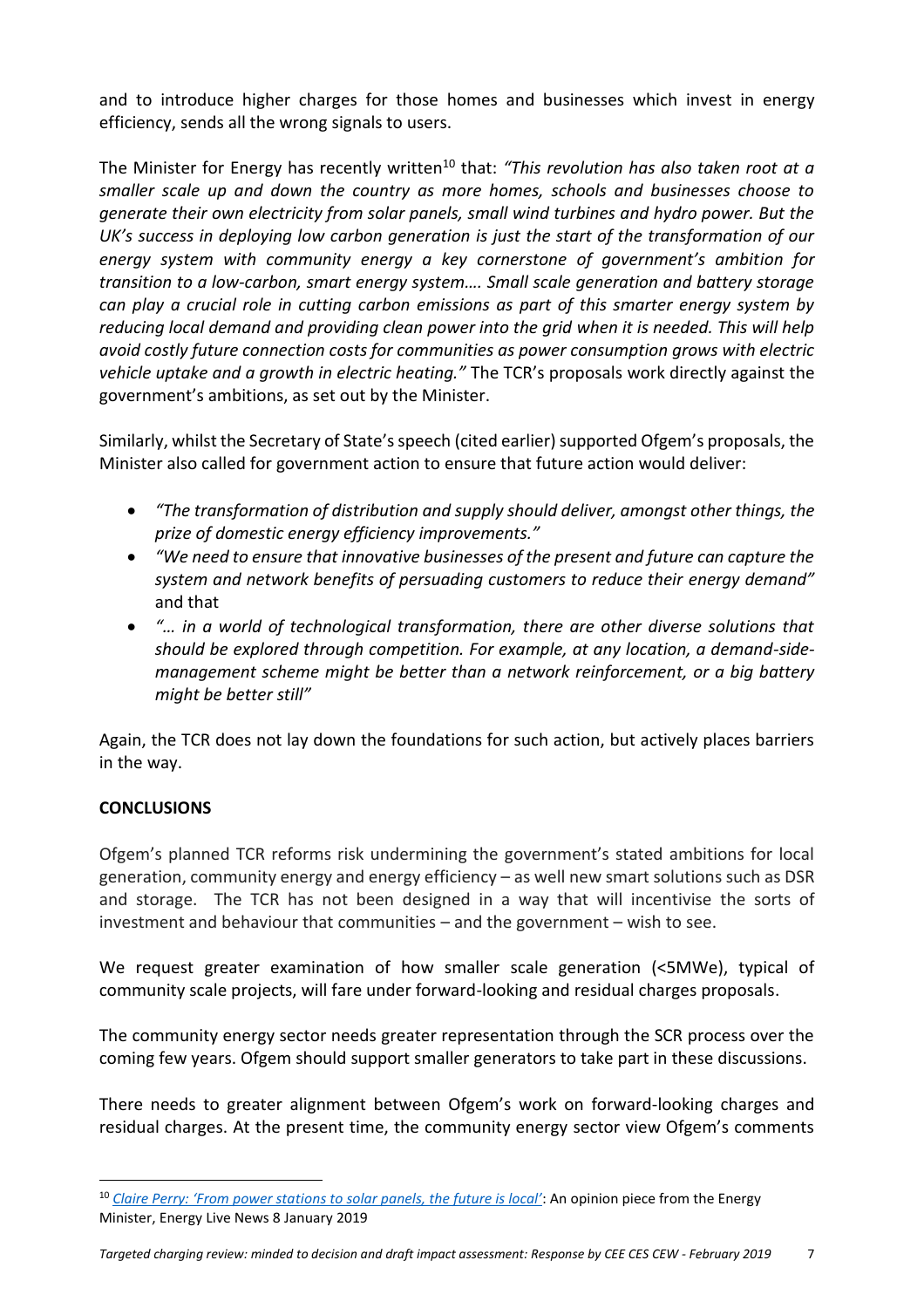and to introduce higher charges for those homes and businesses which invest in energy efficiency, sends all the wrong signals to users.

The Minister for Energy has recently written<sup>10</sup> that: "This revolution has also taken root at a *smaller scale up and down the country as more homes, schools and businesses choose to generate their own electricity from solar panels, small wind turbines and hydro power. But the UK's success in deploying low carbon generation is just the start of the transformation of our energy system with community energy a key cornerstone of government's ambition for transition to a low-carbon, smart energy system…. Small scale generation and battery storage can play a crucial role in cutting carbon emissions as part of this smarter energy system by reducing local demand and providing clean power into the grid when it is needed. This will help avoid costly future connection costs for communities as power consumption grows with electric vehicle uptake and a growth in electric heating."* The TCR's proposals work directly against the government's ambitions, as set out by the Minister.

Similarly, whilst the Secretary of State's speech (cited earlier) supported Ofgem's proposals, the Minister also called for government action to ensure that future action would deliver:

- *"The transformation of distribution and supply should deliver, amongst other things, the prize of domestic energy efficiency improvements."*
- *"We need to ensure that innovative businesses of the present and future can capture the system and network benefits of persuading customers to reduce their energy demand"*  and that
- *"… in a world of technological transformation, there are other diverse solutions that should be explored through competition. For example, at any location, a demand-sidemanagement scheme might be better than a network reinforcement, or a big battery might be better still"*

Again, the TCR does not lay down the foundations for such action, but actively places barriers in the way.

## **CONCLUSIONS**

 $\overline{a}$ 

Ofgem's planned TCR reforms risk undermining the government's stated ambitions for local generation, community energy and energy efficiency – as well new smart solutions such as DSR and storage. The TCR has not been designed in a way that will incentivise the sorts of investment and behaviour that communities – and the government – wish to see.

We request greater examination of how smaller scale generation (<5MWe), typical of community scale projects, will fare under forward-looking and residual charges proposals.

The community energy sector needs greater representation through the SCR process over the coming few years. Ofgem should support smaller generators to take part in these discussions.

There needs to greater alignment between Ofgem's work on forward-looking charges and residual charges. At the present time, the community energy sector view Ofgem's comments

<sup>10</sup> *[Claire Perry: 'From power stations to solar panels, the future is local'](https://www.energylivenews.com/2019/01/08/claire-perry-from-power-stations-to-solar-panels-the-future-is-local/)*: An opinion piece from the Energy Minister, Energy Live News 8 January 2019